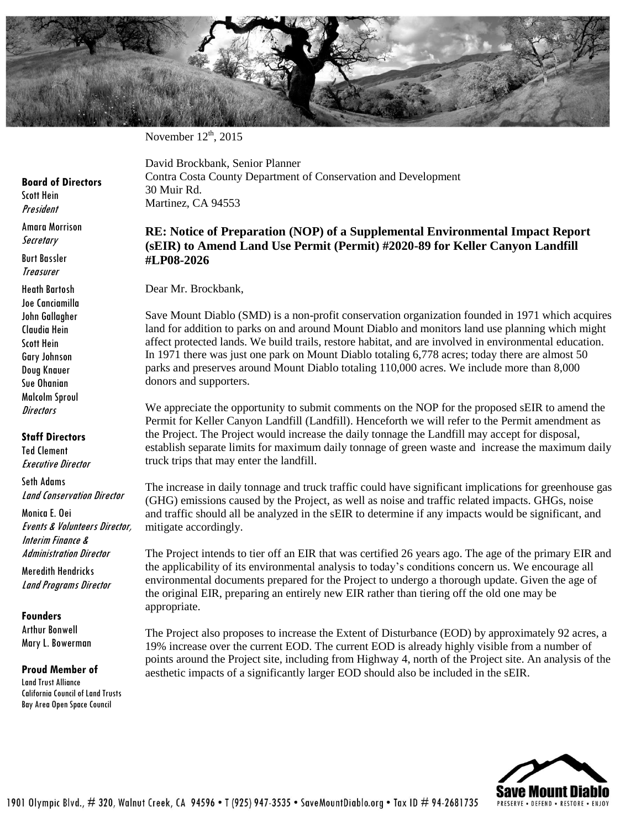

November  $12<sup>th</sup>$ , 2015

**Board of Directors**

Scott Hein President

Amara Morrison **Secretary** 

Burt Bassler **Treasurer** 

Heath Bartosh Joe Canciamilla John Gallagher Claudia Hein Scott Hein Gary Johnson Doug Knauer Sue Ohanian Malcolm Sproul **Directors** 

## **Staff Directors**

Ted Clement Executive Director

Seth Adams Land Conservation Director

Monica E. Oei Events & Volunteers Director, Interim Finance & Administration Director

Meredith Hendricks Land Programs Director

## **Founders**

Arthur Bonwell Mary L. Bowerman

## **Proud Member of**

Land Trust Alliance California Council of Land Trusts Bay Area Open Space Council

David Brockbank, Senior Planner Contra Costa County Department of Conservation and Development 30 Muir Rd. Martinez, CA 94553

## **RE: Notice of Preparation (NOP) of a Supplemental Environmental Impact Report (sEIR) to Amend Land Use Permit (Permit) #2020-89 for Keller Canyon Landfill #LP08-2026**

Dear Mr. Brockbank,

Save Mount Diablo (SMD) is a non-profit conservation organization founded in 1971 which acquires land for addition to parks on and around Mount Diablo and monitors land use planning which might affect protected lands. We build trails, restore habitat, and are involved in environmental education. In 1971 there was just one park on Mount Diablo totaling 6,778 acres; today there are almost 50 parks and preserves around Mount Diablo totaling 110,000 acres. We include more than 8,000 donors and supporters.

We appreciate the opportunity to submit comments on the NOP for the proposed sEIR to amend the Permit for Keller Canyon Landfill (Landfill). Henceforth we will refer to the Permit amendment as the Project. The Project would increase the daily tonnage the Landfill may accept for disposal, establish separate limits for maximum daily tonnage of green waste and increase the maximum daily truck trips that may enter the landfill.

The increase in daily tonnage and truck traffic could have significant implications for greenhouse gas (GHG) emissions caused by the Project, as well as noise and traffic related impacts. GHGs, noise and traffic should all be analyzed in the sEIR to determine if any impacts would be significant, and mitigate accordingly.

The Project intends to tier off an EIR that was certified 26 years ago. The age of the primary EIR and the applicability of its environmental analysis to today's conditions concern us. We encourage all environmental documents prepared for the Project to undergo a thorough update. Given the age of the original EIR, preparing an entirely new EIR rather than tiering off the old one may be appropriate.

The Project also proposes to increase the Extent of Disturbance (EOD) by approximately 92 acres, a 19% increase over the current EOD. The current EOD is already highly visible from a number of points around the Project site, including from Highway 4, north of the Project site. An analysis of the aesthetic impacts of a significantly larger EOD should also be included in the sEIR.